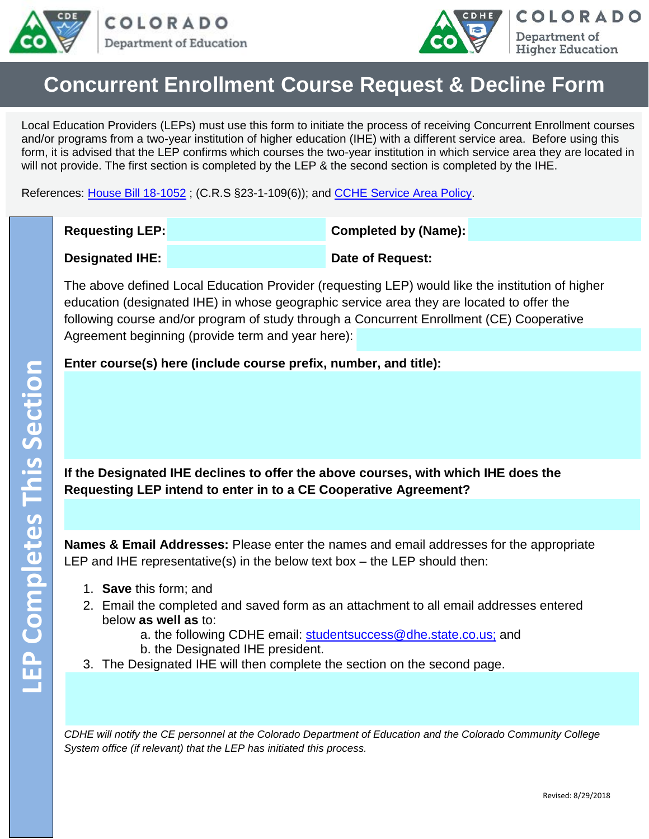



# **Concurrent Enrollment Course Request & Decline Form**

Local Education Providers (LEPs) must use this form to initiate the process of receiving Concurrent Enrollment courses and/or programs from a two-year institution of higher education (IHE) with a different service area. Before using this form, it is advised that the LEP confirms which courses the two-year institution in which service area they are located in will not provide. The first section is completed by the LEP & the second section is completed by the IHE.

References: [House Bill 18-1052](http://leg.colorado.gov/sites/default/files/documents/2018A/bills/2018a_1052_signed.pdf) ; (C.R.S §23-1-109(6)); and [CCHE Service Area Policy.](https://highered.colorado.gov/Publications/Policies/Current/i-partn.pdf)

**Requesting LEP: Completed by (Name):**

**Designated IHE: Date of Request:**

The above defined Local Education Provider (requesting LEP) would like the institution of higher education (designated IHE) in whose geographic service area they are located to offer the following course and/or program of study through a Concurrent Enrollment (CE) Cooperative Agreement beginning (provide term and year here):

**Enter course(s) here (include course prefix, number, and title):**

**If the Designated IHE declines to offer the above courses, with which IHE does the Requesting LEP intend to enter in to a CE Cooperative Agreement?**

**Names & Email Addresses:** Please enter the names and email addresses for the appropriate LEP and IHE representative(s) in the below text box – the LEP should then:

- 1. **Save** this form; and
- 2. Email the completed and saved form as an attachment to all email addresses entered below **as well as** to:
	- a. the following CDHE email: [studentsuccess@dhe.state.co.us;](mailto:studentsuccess@dhe.state.co.us) and
	- b. the Designated IHE president.
- 3. The Designated IHE will then complete the section on the second page.

*CDHE will notify the CE personnel at the Colorado Department of Education and the Colorado Community College System office (if relevant) that the LEP has initiated this process.*